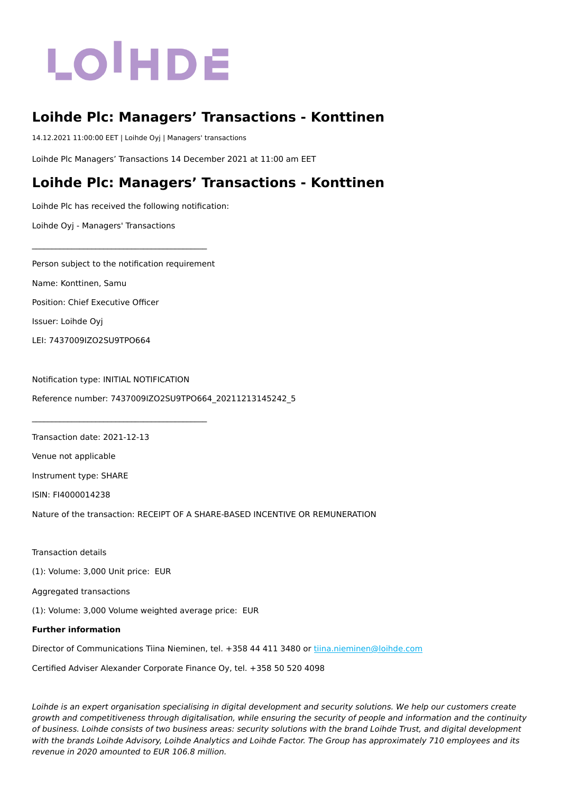# LOIHDE

## **Loihde Plc: Managers' Transactions - Konttinen**

14.12.2021 11:00:00 EET | Loihde Oyj | Managers' transactions

Loihde Plc Managers' Transactions 14 December 2021 at 11:00 am EET

### **Loihde Plc: Managers' Transactions - Konttinen**

Loihde Plc has received the following notification:

Loihde Oyj - Managers' Transactions

Person subject to the notification requirement Name: Konttinen, Samu Position: Chief Executive Officer

\_\_\_\_\_\_\_\_\_\_\_\_\_\_\_\_\_\_\_\_\_\_\_\_\_\_\_\_\_\_\_\_\_\_\_\_\_\_\_\_\_\_\_\_

\_\_\_\_\_\_\_\_\_\_\_\_\_\_\_\_\_\_\_\_\_\_\_\_\_\_\_\_\_\_\_\_\_\_\_\_\_\_\_\_\_\_\_\_

Issuer: Loihde Oyj

LEI: 7437009IZO2SU9TPO664

Notification type: INITIAL NOTIFICATION Reference number: 7437009IZO2SU9TPO664\_20211213145242\_5

Transaction date: 2021-12-13

Venue not applicable

Instrument type: SHARE

ISIN: FI4000014238

Nature of the transaction: RECEIPT OF A SHARE-BASED INCENTIVE OR REMUNERATION

Transaction details

(1): Volume: 3,000 Unit price: EUR

Aggregated transactions

(1): Volume: 3,000 Volume weighted average price: EUR

#### **Further information**

Director of Communications Tiina Nieminen, tel. +358 44 411 3480 or [tiina.nieminen@loihde.com](mailto:tiina.nieminen@loihde.com)

Certified Adviser Alexander Corporate Finance Oy, tel. +358 50 520 4098

Loihde is an expert organisation specialising in digital development and security solutions. We help our customers create growth and competitiveness through digitalisation, while ensuring the security of people and information and the continuity of business. Loihde consists of two business areas: security solutions with the brand Loihde Trust, and digital development with the brands Loihde Advisory, Loihde Analytics and Loihde Factor. The Group has approximately 710 employees and its revenue in 2020 amounted to EUR 106.8 million.